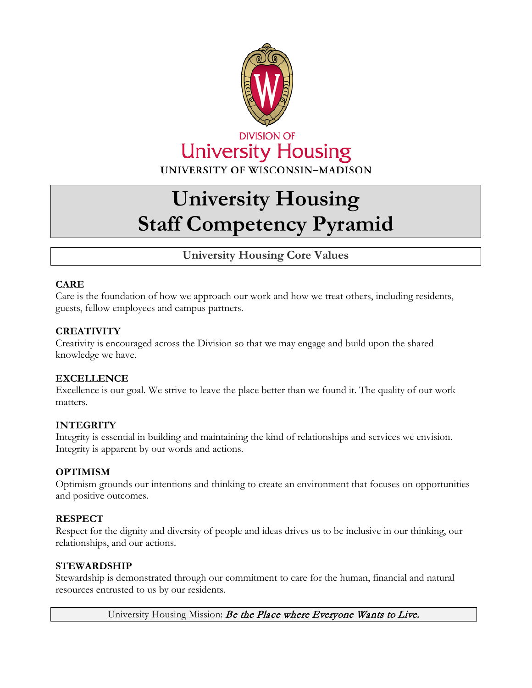

# **University Housing Staff Competency Pyramid**

# **University Housing Core Values**

## **CARE**

Care is the foundation of how we approach our work and how we treat others, including residents, guests, fellow employees and campus partners.

## **CREATIVITY**

Creativity is encouraged across the Division so that we may engage and build upon the shared knowledge we have.

## **EXCELLENCE**

Excellence is our goal. We strive to leave the place better than we found it. The quality of our work matters.

## **INTEGRITY**

Integrity is essential in building and maintaining the kind of relationships and services we envision. Integrity is apparent by our words and actions.

## **OPTIMISM**

Optimism grounds our intentions and thinking to create an environment that focuses on opportunities and positive outcomes.

## **RESPECT**

Respect for the dignity and diversity of people and ideas drives us to be inclusive in our thinking, our relationships, and our actions.

## **STEWARDSHIP**

Stewardship is demonstrated through our commitment to care for the human, financial and natural resources entrusted to us by our residents.

University Housing Mission: Be the Place where Everyone Wants to Live.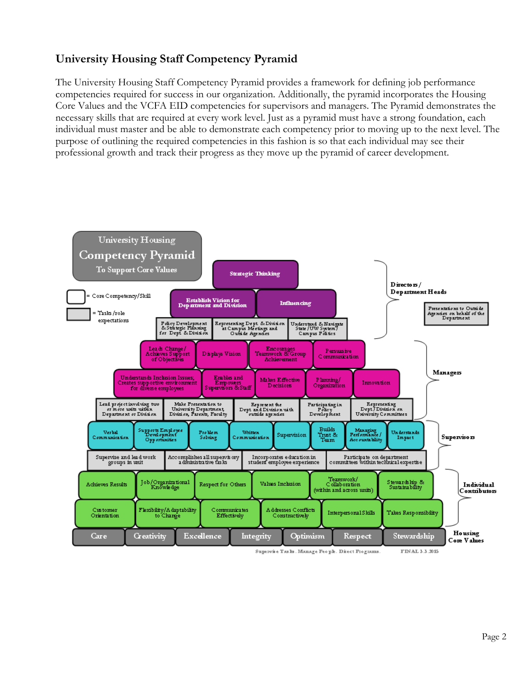# **University Housing Staff Competency Pyramid**

The University Housing Staff Competency Pyramid provides a framework for defining job performance competencies required for success in our organization. Additionally, the pyramid incorporates the Housing Core Values and the VCFA EID competencies for supervisors and managers. The Pyramid demonstrates the necessary skills that are required at every work level. Just as a pyramid must have a strong foundation, each individual must master and be able to demonstrate each competency prior to moving up to the next level. The purpose of outlining the required competencies in this fashion is so that each individual may see their professional growth and track their progress as they move up the pyramid of career development.

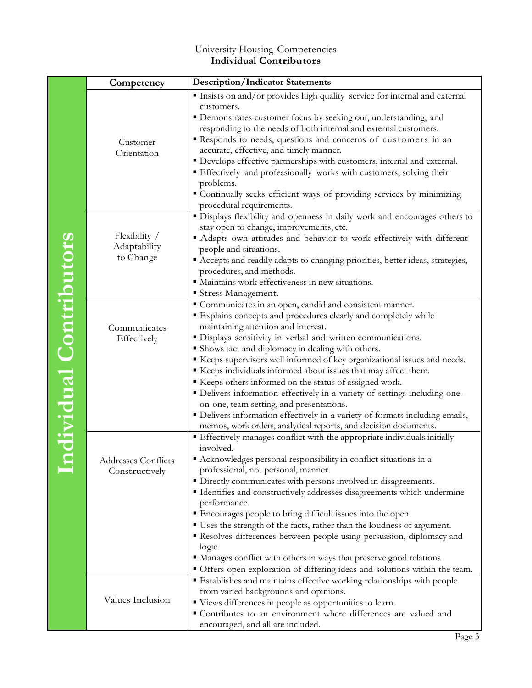## University Housing Competencies **Individual Contributors**

|                        | Competency                                 | <b>Description/Indicator Statements</b>                                                                                                                                                                                                                                                                                                                                                                                                                                                                                                                                                                                                                         |
|------------------------|--------------------------------------------|-----------------------------------------------------------------------------------------------------------------------------------------------------------------------------------------------------------------------------------------------------------------------------------------------------------------------------------------------------------------------------------------------------------------------------------------------------------------------------------------------------------------------------------------------------------------------------------------------------------------------------------------------------------------|
| ndividual Contributors |                                            | Insists on and/or provides high quality service for internal and external<br>customers.<br>• Demonstrates customer focus by seeking out, understanding, and                                                                                                                                                                                                                                                                                                                                                                                                                                                                                                     |
|                        | Customer<br>Orientation                    | responding to the needs of both internal and external customers.<br>Responds to needs, questions and concerns of customers in an<br>accurate, effective, and timely manner.<br>• Develops effective partnerships with customers, internal and external.<br>Effectively and professionally works with customers, solving their<br>problems.<br>" Continually seeks efficient ways of providing services by minimizing                                                                                                                                                                                                                                            |
|                        | Flexibility /<br>Adaptability<br>to Change | procedural requirements.<br>· Displays flexibility and openness in daily work and encourages others to<br>stay open to change, improvements, etc.<br>Adapts own attitudes and behavior to work effectively with different<br>people and situations.<br>" Accepts and readily adapts to changing priorities, better ideas, strategies,<br>procedures, and methods.<br>· Maintains work effectiveness in new situations.<br>Stress Management.                                                                                                                                                                                                                    |
|                        | Communicates<br>Effectively                | Communicates in an open, candid and consistent manner.<br>" Explains concepts and procedures clearly and completely while<br>maintaining attention and interest.<br>· Displays sensitivity in verbal and written communications.<br>Shows tact and diplomacy in dealing with others.<br>Keeps supervisors well informed of key organizational issues and needs.<br>Keeps individuals informed about issues that may affect them.                                                                                                                                                                                                                                |
|                        |                                            | Keeps others informed on the status of assigned work.<br>• Delivers information effectively in a variety of settings including one-<br>on-one, team setting, and presentations.<br>• Delivers information effectively in a variety of formats including emails,<br>memos, work orders, analytical reports, and decision documents.                                                                                                                                                                                                                                                                                                                              |
|                        | Addresses Conflicts<br>Constructively      | Effectively manages conflict with the appropriate individuals initially<br>involved.<br>Acknowledges personal responsibility in conflict situations in a<br>professional, not personal, manner.<br>• Directly communicates with persons involved in disagreements.<br>" Identifies and constructively addresses disagreements which undermine<br>performance.<br>Encourages people to bring difficult issues into the open.<br>" Uses the strength of the facts, rather than the loudness of argument.<br>Resolves differences between people using persuasion, diplomacy and<br>logic.<br>• Manages conflict with others in ways that preserve good relations. |
|                        | Values Inclusion                           | • Offers open exploration of differing ideas and solutions within the team.<br>Establishes and maintains effective working relationships with people<br>from varied backgrounds and opinions.<br>" Views differences in people as opportunities to learn.<br>Contributes to an environment where differences are valued and<br>encouraged, and all are included.                                                                                                                                                                                                                                                                                                |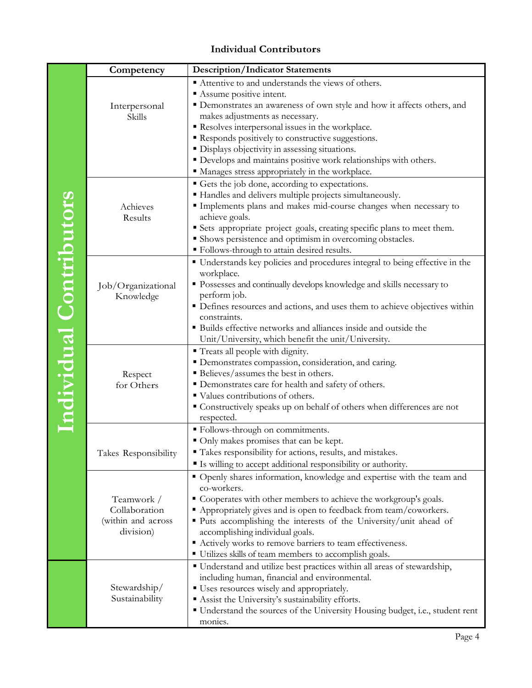## **Individual Contributors**

|                         | Competency                  | <b>Description/Indicator Statements</b>                                                               |
|-------------------------|-----------------------------|-------------------------------------------------------------------------------------------------------|
|                         |                             | Attentive to and understands the views of others.                                                     |
|                         |                             | Assume positive intent.                                                                               |
|                         | Interpersonal               | • Demonstrates an awareness of own style and how it affects others, and                               |
|                         | Skills                      | makes adjustments as necessary.                                                                       |
|                         |                             | Resolves interpersonal issues in the workplace.                                                       |
|                         |                             | Responds positively to constructive suggestions.                                                      |
|                         |                             | · Displays objectivity in assessing situations.                                                       |
|                         |                             | • Develops and maintains positive work relationships with others.                                     |
|                         |                             | " Manages stress appropriately in the workplace.                                                      |
|                         |                             | Gets the job done, according to expectations.                                                         |
|                         |                             | " Handles and delivers multiple projects simultaneously.                                              |
|                         | Achieves                    | Implements plans and makes mid-course changes when necessary to                                       |
|                         | Results                     | achieve goals.                                                                                        |
|                         |                             | Sets appropriate project goals, creating specific plans to meet them.                                 |
|                         |                             | • Shows persistence and optimism in overcoming obstacles.                                             |
|                         |                             | " Follows-through to attain desired results.                                                          |
|                         |                             | • Understands key policies and procedures integral to being effective in the                          |
|                         |                             | workplace.                                                                                            |
|                         | Job/Organizational          | " Possesses and continually develops knowledge and skills necessary to                                |
|                         | Knowledge                   | perform job.                                                                                          |
|                         |                             | • Defines resources and actions, and uses them to achieve objectives within                           |
|                         |                             | constraints.                                                                                          |
|                         |                             | · Builds effective networks and alliances inside and outside the                                      |
|                         |                             | Unit/University, which benefit the unit/University.                                                   |
|                         |                             | " Treats all people with dignity.                                                                     |
|                         |                             | " Demonstrates compassion, consideration, and caring.                                                 |
|                         | Respect                     | Believes/assumes the best in others.                                                                  |
|                         | for Others                  | • Demonstrates care for health and safety of others.                                                  |
|                         |                             | ■ Values contributions of others.                                                                     |
| Individual Contributors |                             | Constructively speaks up on behalf of others when differences are not                                 |
|                         |                             | respected.                                                                                            |
|                         |                             | · Follows-through on commitments.                                                                     |
|                         |                             | Only makes promises that can be kept.<br>" Takes responsibility for actions, results, and mistakes.   |
|                         | Takes Responsibility        |                                                                                                       |
|                         |                             | Is willing to accept additional responsibility or authority.                                          |
|                         |                             | " Openly shares information, knowledge and expertise with the team and                                |
|                         |                             | co-workers.                                                                                           |
|                         | Teamwork /<br>Collaboration | Cooperates with other members to achieve the workgroup's goals.                                       |
|                         | (within and across          | • Appropriately gives and is open to feedback from team/coworkers.                                    |
|                         | division)                   | • Puts accomplishing the interests of the University/unit ahead of<br>accomplishing individual goals. |
|                         |                             | Actively works to remove barriers to team effectiveness.                                              |
|                         |                             | • Utilizes skills of team members to accomplish goals.                                                |
|                         |                             | " Understand and utilize best practices within all areas of stewardship,                              |
|                         |                             | including human, financial and environmental.                                                         |
|                         | Stewardship/                | ■ Uses resources wisely and appropriately.                                                            |
|                         | Sustainability              | Assist the University's sustainability efforts.                                                       |
|                         |                             | " Understand the sources of the University Housing budget, i.e., student rent                         |
|                         |                             | monies.                                                                                               |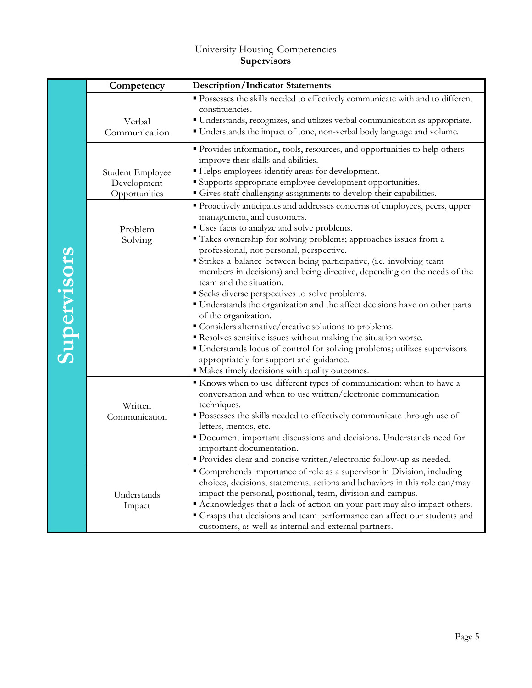## University Housing Competencies **Supervisors**

|             | Competency                                       | <b>Description/Indicator Statements</b>                                                                                                                                                                                                                                                                                                                                                                                                                                                                                                                                                                                                                                                                                                                                                                                                                            |
|-------------|--------------------------------------------------|--------------------------------------------------------------------------------------------------------------------------------------------------------------------------------------------------------------------------------------------------------------------------------------------------------------------------------------------------------------------------------------------------------------------------------------------------------------------------------------------------------------------------------------------------------------------------------------------------------------------------------------------------------------------------------------------------------------------------------------------------------------------------------------------------------------------------------------------------------------------|
| Supervisors | Verbal<br>Communication                          | • Possesses the skills needed to effectively communicate with and to different<br>constituencies.<br>" Understands, recognizes, and utilizes verbal communication as appropriate.<br>" Understands the impact of tone, non-verbal body language and volume.                                                                                                                                                                                                                                                                                                                                                                                                                                                                                                                                                                                                        |
|             | Student Employee<br>Development<br>Opportunities | • Provides information, tools, resources, and opportunities to help others<br>improve their skills and abilities.<br>" Helps employees identify areas for development.<br>Supports appropriate employee development opportunities.<br>Gives staff challenging assignments to develop their capabilities.                                                                                                                                                                                                                                                                                                                                                                                                                                                                                                                                                           |
|             | Problem<br>Solving                               | • Proactively anticipates and addresses concerns of employees, peers, upper<br>management, and customers.<br>" Uses facts to analyze and solve problems.<br>• Takes ownership for solving problems; approaches issues from a<br>professional, not personal, perspective.<br>Strikes a balance between being participative, (i.e. involving team<br>members in decisions) and being directive, depending on the needs of the<br>team and the situation.<br>Seeks diverse perspectives to solve problems.<br>" Understands the organization and the affect decisions have on other parts<br>of the organization.<br>• Considers alternative/creative solutions to problems.<br>Resolves sensitive issues without making the situation worse.<br>• Understands locus of control for solving problems; utilizes supervisors<br>appropriately for support and guidance. |
|             | Written<br>Communication                         | • Makes timely decisions with quality outcomes.<br>Knows when to use different types of communication: when to have a<br>conversation and when to use written/electronic communication<br>techniques.<br>• Possesses the skills needed to effectively communicate through use of<br>letters, memos, etc.<br>• Document important discussions and decisions. Understands need for<br>important documentation.<br>" Provides clear and concise written/electronic follow-up as needed.                                                                                                                                                                                                                                                                                                                                                                               |
|             | Understands<br>Impact                            | " Comprehends importance of role as a supervisor in Division, including<br>choices, decisions, statements, actions and behaviors in this role can/may<br>impact the personal, positional, team, division and campus.<br>• Acknowledges that a lack of action on your part may also impact others.<br>Grasps that decisions and team performance can affect our students and<br>customers, as well as internal and external partners.                                                                                                                                                                                                                                                                                                                                                                                                                               |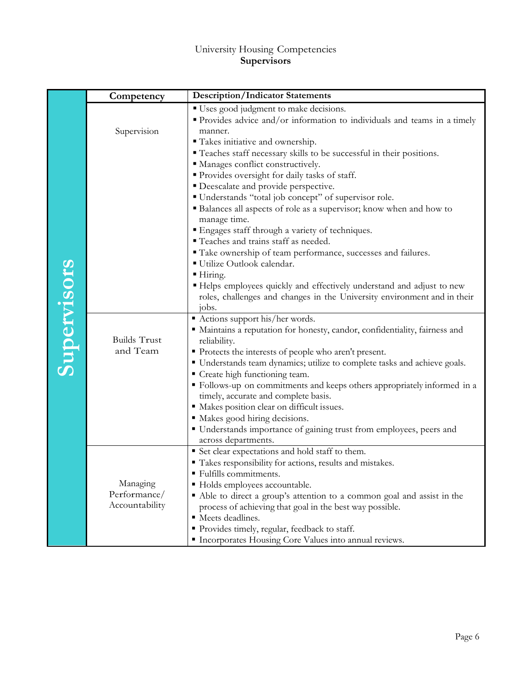## University Housing Competencies **Supervisors**

|             | Competency                                 | <b>Description/Indicator Statements</b>                                                                                                                                                                                                                                                                                                                                                                                                                                                                                                                                                                       |
|-------------|--------------------------------------------|---------------------------------------------------------------------------------------------------------------------------------------------------------------------------------------------------------------------------------------------------------------------------------------------------------------------------------------------------------------------------------------------------------------------------------------------------------------------------------------------------------------------------------------------------------------------------------------------------------------|
| Supervisors | Supervision                                | " Uses good judgment to make decisions.<br>Provides advice and/or information to individuals and teams in a timely<br>manner.<br>" Takes initiative and ownership.<br>" Teaches staff necessary skills to be successful in their positions.<br>" Manages conflict constructively.<br>" Provides oversight for daily tasks of staff.                                                                                                                                                                                                                                                                           |
|             |                                            | • Deescalate and provide perspective.<br>" Understands "total job concept" of supervisor role.<br>• Balances all aspects of role as a supervisor; know when and how to<br>manage time.<br>" Engages staff through a variety of techniques.                                                                                                                                                                                                                                                                                                                                                                    |
|             |                                            | " Teaches and trains staff as needed.<br>" Take ownership of team performance, successes and failures.<br>Utilize Outlook calendar.<br>■ Hiring.<br>" Helps employees quickly and effectively understand and adjust to new<br>roles, challenges and changes in the University environment and in their                                                                                                                                                                                                                                                                                                        |
|             | <b>Builds Trust</b><br>and Team            | jobs.<br>Actions support his/her words.<br>" Maintains a reputation for honesty, candor, confidentiality, fairness and<br>reliability.<br>Protects the interests of people who aren't present.<br>• Understands team dynamics; utilize to complete tasks and achieve goals.<br>Create high functioning team.<br>" Follows-up on commitments and keeps others appropriately informed in a<br>timely, accurate and complete basis.<br>• Makes position clear on difficult issues.<br>Makes good hiring decisions.<br>" Understands importance of gaining trust from employees, peers and<br>across departments. |
|             | Managing<br>Performance/<br>Accountability | Set clear expectations and hold staff to them.<br>" Takes responsibility for actions, results and mistakes.<br>Fulfills commitments.<br>• Holds employees accountable.<br>Able to direct a group's attention to a common goal and assist in the<br>process of achieving that goal in the best way possible.<br>" Meets deadlines.<br>Provides timely, regular, feedback to staff.<br>Incorporates Housing Core Values into annual reviews.                                                                                                                                                                    |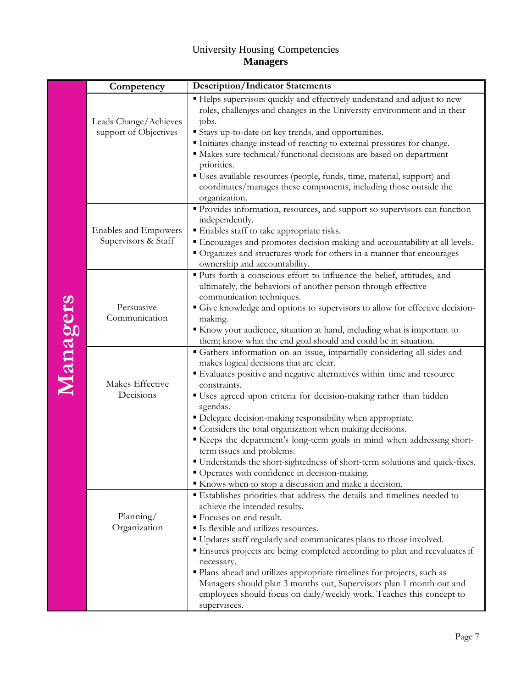## University Housing Competencies **Managers**

|          | Competency                                         | <b>Description/Indicator Statements</b>                                                                                                                                                                                                                                                                                                                                                                                                                                                                                          |
|----------|----------------------------------------------------|----------------------------------------------------------------------------------------------------------------------------------------------------------------------------------------------------------------------------------------------------------------------------------------------------------------------------------------------------------------------------------------------------------------------------------------------------------------------------------------------------------------------------------|
| Managers | Leads Change/Achieves<br>support of Objectives     | " Helps supervisors quickly and effectively understand and adjust to new<br>roles, challenges and changes in the University environment and in their<br>jobs.<br>Stays up-to-date on key trends, and opportunities.<br>Initiates change instead of reacting to external pressures for change.                                                                                                                                                                                                                                    |
|          |                                                    | • Makes sure technical/functional decisions are based on department<br>priorities.<br>" Uses available resources (people, funds, time, material, support) and<br>coordinates/manages these components, including those outside the<br>organization.                                                                                                                                                                                                                                                                              |
|          | <b>Enables and Empowers</b><br>Supervisors & Staff | Provides information, resources, and support so supervisors can function<br>independently.<br>Enables staff to take appropriate risks.<br>Encourages and promotes decision making and accountability at all levels.<br>" Organizes and structures work for others in a manner that encourages<br>ownership and accountability.                                                                                                                                                                                                   |
|          | Persuasive<br>Communication                        | " Puts forth a conscious effort to influence the belief, attitudes, and<br>ultimately, the behaviors of another person through effective<br>communication techniques.<br>Give knowledge and options to supervisors to allow for effective decision-<br>making.<br>Know your audience, situation at hand, including what is important to<br>them; know what the end goal should and could be in situation.                                                                                                                        |
|          | Makes Effective<br>Decisions                       | " Gathers information on an issue, impartially considering all sides and<br>makes logical decisions that are clear.<br>" Evaluates positive and negative alternatives within time and resource<br>constraints.<br>" Uses agreed upon criteria for decision-making rather than hidden<br>agendas.<br>• Delegate decision-making responsibility when appropriate.<br>Considers the total organization when making decisions.<br>Keeps the department's long-term goals in mind when addressing short-<br>term issues and problems. |
|          |                                                    | " Understands the short-sightedness of short-term solutions and quick-fixes.<br>" Operates with confidence in decision-making.<br>Knows when to stop a discussion and make a decision.                                                                                                                                                                                                                                                                                                                                           |
|          | Planning/<br>Organization                          | Establishes priorities that address the details and timelines needed to<br>achieve the intended results.<br>■ Focuses on end result.<br>Is flexible and utilizes resources.<br>" Updates staff regularly and communicates plans to those involved.<br>Ensures projects are being completed according to plan and reevaluates if<br>necessary.<br>• Plans ahead and utilizes appropriate timelines for projects, such as<br>Managers should plan 3 months out, Supervisors plan 1 month out and                                   |
|          |                                                    | employees should focus on daily/weekly work. Teaches this concept to<br>supervisees.                                                                                                                                                                                                                                                                                                                                                                                                                                             |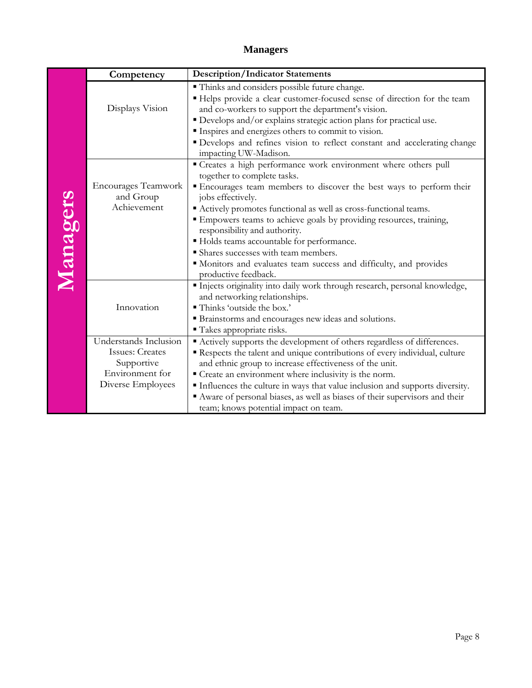## **Managers**

|          | Competency                                                                                            | <b>Description/Indicator Statements</b>                                                                                                                                                                                                                                                                                                                                                                                                                                                                                                                 |
|----------|-------------------------------------------------------------------------------------------------------|---------------------------------------------------------------------------------------------------------------------------------------------------------------------------------------------------------------------------------------------------------------------------------------------------------------------------------------------------------------------------------------------------------------------------------------------------------------------------------------------------------------------------------------------------------|
| Managers | Displays Vision                                                                                       | " Thinks and considers possible future change.<br>" Helps provide a clear customer-focused sense of direction for the team<br>and co-workers to support the department's vision.<br>" Develops and/or explains strategic action plans for practical use.                                                                                                                                                                                                                                                                                                |
|          |                                                                                                       | Inspires and energizes others to commit to vision.<br>" Develops and refines vision to reflect constant and accelerating change<br>impacting UW-Madison.                                                                                                                                                                                                                                                                                                                                                                                                |
|          | <b>Encourages Teamwork</b><br>and Group<br>Achievement                                                | " Creates a high performance work environment where others pull<br>together to complete tasks.<br>" Encourages team members to discover the best ways to perform their<br>jobs effectively.<br>Actively promotes functional as well as cross-functional teams.<br>" Empowers teams to achieve goals by providing resources, training,<br>responsibility and authority.<br>Holds teams accountable for performance.<br>Shares successes with team members.<br>" Monitors and evaluates team success and difficulty, and provides<br>productive feedback. |
|          | Innovation                                                                                            | Injects originality into daily work through research, personal knowledge,<br>and networking relationships.<br>" Thinks 'outside the box.'<br>" Brainstorms and encourages new ideas and solutions.<br>" Takes appropriate risks.                                                                                                                                                                                                                                                                                                                        |
|          | Understands Inclusion<br><b>Issues: Creates</b><br>Supportive<br>Environment for<br>Diverse Employees | Actively supports the development of others regardless of differences.<br>Respects the talent and unique contributions of every individual, culture<br>and ethnic group to increase effectiveness of the unit.<br>" Create an environment where inclusivity is the norm.<br>Influences the culture in ways that value inclusion and supports diversity.<br>Aware of personal biases, as well as biases of their supervisors and their<br>team; knows potential impact on team.                                                                          |